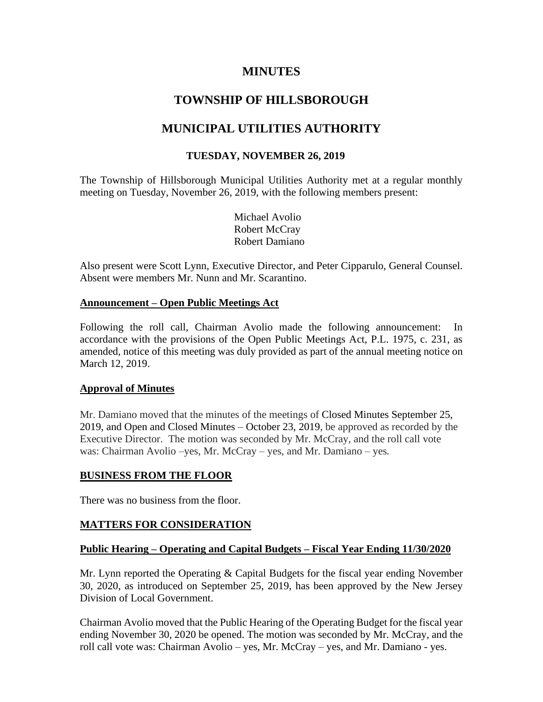# **MINUTES**

# **TOWNSHIP OF HILLSBOROUGH**

# **MUNICIPAL UTILITIES AUTHORITY**

# **TUESDAY, NOVEMBER 26, 2019**

The Township of Hillsborough Municipal Utilities Authority met at a regular monthly meeting on Tuesday, November 26, 2019, with the following members present:

> Michael Avolio Robert McCray Robert Damiano

Also present were Scott Lynn, Executive Director, and Peter Cipparulo, General Counsel. Absent were members Mr. Nunn and Mr. Scarantino.

#### **Announcement – Open Public Meetings Act**

Following the roll call, Chairman Avolio made the following announcement: In accordance with the provisions of the Open Public Meetings Act, P.L. 1975, c. 231, as amended, notice of this meeting was duly provided as part of the annual meeting notice on March 12, 2019.

#### **Approval of Minutes**

Mr. Damiano moved that the minutes of the meetings of Closed Minutes September 25, 2019, and Open and Closed Minutes – October 23, 2019, be approved as recorded by the Executive Director. The motion was seconded by Mr. McCray, and the roll call vote was: Chairman Avolio –yes, Mr. McCray – yes, and Mr. Damiano – yes*.*

#### **BUSINESS FROM THE FLOOR**

There was no business from the floor.

#### **MATTERS FOR CONSIDERATION**

#### **Public Hearing – Operating and Capital Budgets – Fiscal Year Ending 11/30/2020**

Mr. Lynn reported the Operating & Capital Budgets for the fiscal year ending November 30, 2020, as introduced on September 25, 2019, has been approved by the New Jersey Division of Local Government.

Chairman Avolio moved that the Public Hearing of the Operating Budget for the fiscal year ending November 30, 2020 be opened. The motion was seconded by Mr. McCray, and the roll call vote was: Chairman Avolio – yes, Mr. McCray – yes, and Mr. Damiano - yes.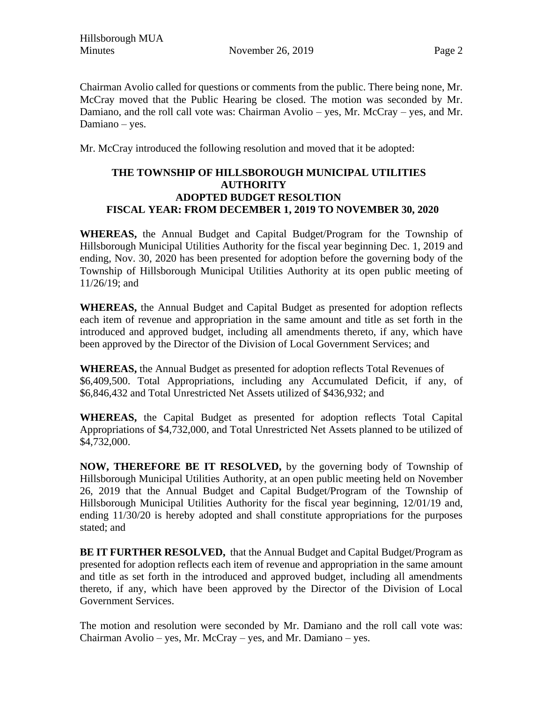Chairman Avolio called for questions or comments from the public. There being none, Mr. McCray moved that the Public Hearing be closed. The motion was seconded by Mr. Damiano, and the roll call vote was: Chairman Avolio – yes, Mr. McCray – yes, and Mr. Damiano – yes.

Mr. McCray introduced the following resolution and moved that it be adopted:

# **THE TOWNSHIP OF HILLSBOROUGH MUNICIPAL UTILITIES AUTHORITY ADOPTED BUDGET RESOLTION FISCAL YEAR: FROM DECEMBER 1, 2019 TO NOVEMBER 30, 2020**

**WHEREAS,** the Annual Budget and Capital Budget/Program for the Township of Hillsborough Municipal Utilities Authority for the fiscal year beginning Dec. 1, 2019 and ending, Nov. 30, 2020 has been presented for adoption before the governing body of the Township of Hillsborough Municipal Utilities Authority at its open public meeting of 11/26/19; and

**WHEREAS,** the Annual Budget and Capital Budget as presented for adoption reflects each item of revenue and appropriation in the same amount and title as set forth in the introduced and approved budget, including all amendments thereto, if any, which have been approved by the Director of the Division of Local Government Services; and

**WHEREAS,** the Annual Budget as presented for adoption reflects Total Revenues of \$6,409,500. Total Appropriations, including any Accumulated Deficit, if any, of \$6,846,432 and Total Unrestricted Net Assets utilized of \$436,932; and

**WHEREAS,** the Capital Budget as presented for adoption reflects Total Capital Appropriations of \$4,732,000, and Total Unrestricted Net Assets planned to be utilized of \$4,732,000.

**NOW, THEREFORE BE IT RESOLVED,** by the governing body of Township of Hillsborough Municipal Utilities Authority, at an open public meeting held on November 26, 2019 that the Annual Budget and Capital Budget/Program of the Township of Hillsborough Municipal Utilities Authority for the fiscal year beginning, 12/01/19 and, ending 11/30/20 is hereby adopted and shall constitute appropriations for the purposes stated; and

**BE IT FURTHER RESOLVED,** that the Annual Budget and Capital Budget/Program as presented for adoption reflects each item of revenue and appropriation in the same amount and title as set forth in the introduced and approved budget, including all amendments thereto, if any, which have been approved by the Director of the Division of Local Government Services.

The motion and resolution were seconded by Mr. Damiano and the roll call vote was: Chairman Avolio – yes, Mr. McCray – yes, and Mr. Damiano – yes.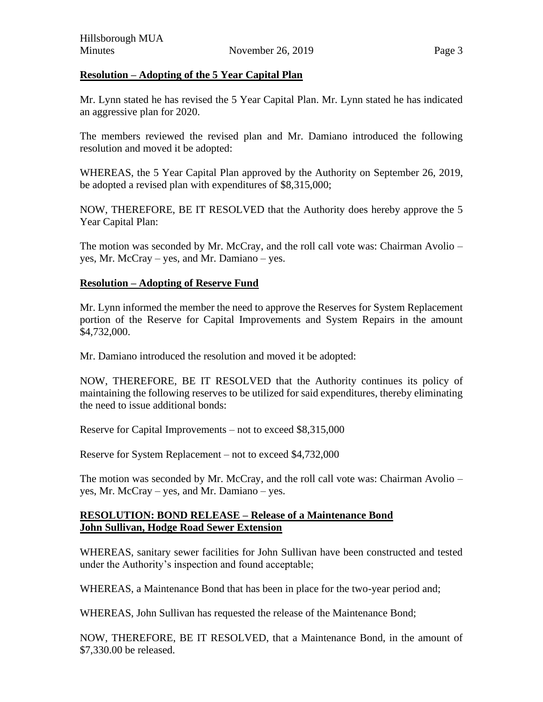## **Resolution – Adopting of the 5 Year Capital Plan**

Mr. Lynn stated he has revised the 5 Year Capital Plan. Mr. Lynn stated he has indicated an aggressive plan for 2020.

The members reviewed the revised plan and Mr. Damiano introduced the following resolution and moved it be adopted:

WHEREAS, the 5 Year Capital Plan approved by the Authority on September 26, 2019, be adopted a revised plan with expenditures of \$8,315,000;

NOW, THEREFORE, BE IT RESOLVED that the Authority does hereby approve the 5 Year Capital Plan:

The motion was seconded by Mr. McCray, and the roll call vote was: Chairman Avolio – yes, Mr. McCray – yes, and Mr. Damiano – yes.

## **Resolution – Adopting of Reserve Fund**

Mr. Lynn informed the member the need to approve the Reserves for System Replacement portion of the Reserve for Capital Improvements and System Repairs in the amount \$4,732,000.

Mr. Damiano introduced the resolution and moved it be adopted:

NOW, THEREFORE, BE IT RESOLVED that the Authority continues its policy of maintaining the following reserves to be utilized for said expenditures, thereby eliminating the need to issue additional bonds:

Reserve for Capital Improvements – not to exceed \$8,315,000

Reserve for System Replacement – not to exceed \$4,732,000

The motion was seconded by Mr. McCray, and the roll call vote was: Chairman Avolio – yes, Mr. McCray – yes, and Mr. Damiano – yes.

#### **RESOLUTION: BOND RELEASE – Release of a Maintenance Bond John Sullivan, Hodge Road Sewer Extension**

WHEREAS, sanitary sewer facilities for John Sullivan have been constructed and tested under the Authority's inspection and found acceptable;

WHEREAS, a Maintenance Bond that has been in place for the two-year period and;

WHEREAS, John Sullivan has requested the release of the Maintenance Bond;

NOW, THEREFORE, BE IT RESOLVED, that a Maintenance Bond, in the amount of \$7,330.00 be released.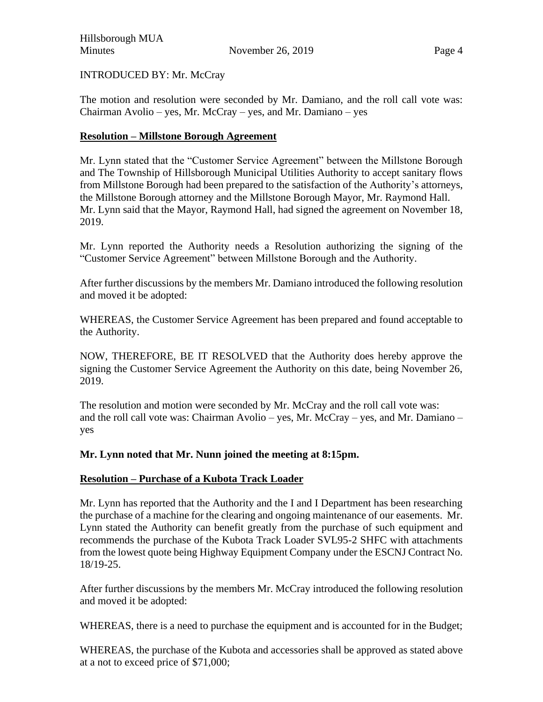INTRODUCED BY: Mr. McCray

The motion and resolution were seconded by Mr. Damiano, and the roll call vote was: Chairman Avolio – yes, Mr. McCray – yes, and Mr. Damiano – yes

## **Resolution – Millstone Borough Agreement**

Mr. Lynn stated that the "Customer Service Agreement" between the Millstone Borough and The Township of Hillsborough Municipal Utilities Authority to accept sanitary flows from Millstone Borough had been prepared to the satisfaction of the Authority's attorneys, the Millstone Borough attorney and the Millstone Borough Mayor, Mr. Raymond Hall. Mr. Lynn said that the Mayor, Raymond Hall, had signed the agreement on November 18, 2019.

Mr. Lynn reported the Authority needs a Resolution authorizing the signing of the "Customer Service Agreement" between Millstone Borough and the Authority.

After further discussions by the members Mr. Damiano introduced the following resolution and moved it be adopted:

WHEREAS, the Customer Service Agreement has been prepared and found acceptable to the Authority.

NOW, THEREFORE, BE IT RESOLVED that the Authority does hereby approve the signing the Customer Service Agreement the Authority on this date, being November 26, 2019.

The resolution and motion were seconded by Mr. McCray and the roll call vote was: and the roll call vote was: Chairman Avolio – yes, Mr. McCray – yes, and Mr. Damiano – yes

# **Mr. Lynn noted that Mr. Nunn joined the meeting at 8:15pm.**

#### **Resolution – Purchase of a Kubota Track Loader**

Mr. Lynn has reported that the Authority and the I and I Department has been researching the purchase of a machine for the clearing and ongoing maintenance of our easements. Mr. Lynn stated the Authority can benefit greatly from the purchase of such equipment and recommends the purchase of the Kubota Track Loader SVL95-2 SHFC with attachments from the lowest quote being Highway Equipment Company under the ESCNJ Contract No. 18/19-25.

After further discussions by the members Mr. McCray introduced the following resolution and moved it be adopted:

WHEREAS, there is a need to purchase the equipment and is accounted for in the Budget;

WHEREAS, the purchase of the Kubota and accessories shall be approved as stated above at a not to exceed price of \$71,000;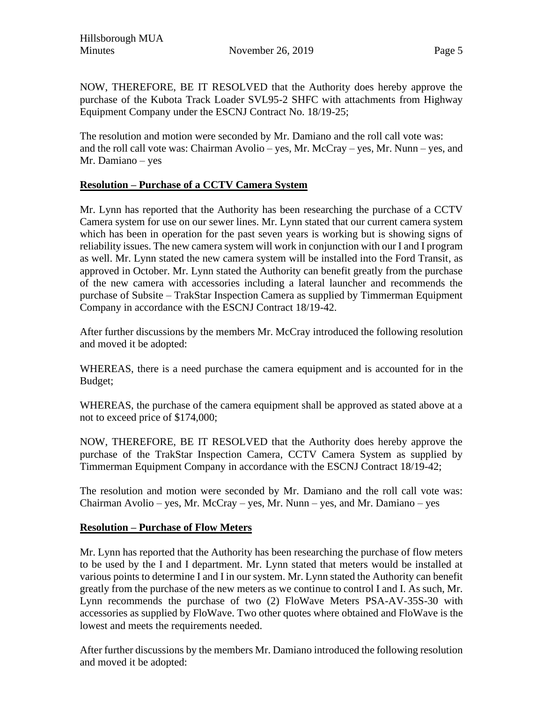Hillsborough MUA Minutes **November 26, 2019** Page 5

NOW, THEREFORE, BE IT RESOLVED that the Authority does hereby approve the purchase of the Kubota Track Loader SVL95-2 SHFC with attachments from Highway Equipment Company under the ESCNJ Contract No. 18/19-25;

The resolution and motion were seconded by Mr. Damiano and the roll call vote was: and the roll call vote was: Chairman Avolio – yes, Mr. McCray – yes, Mr. Nunn – yes, and Mr. Damiano – yes

## **Resolution – Purchase of a CCTV Camera System**

Mr. Lynn has reported that the Authority has been researching the purchase of a CCTV Camera system for use on our sewer lines. Mr. Lynn stated that our current camera system which has been in operation for the past seven years is working but is showing signs of reliability issues. The new camera system will work in conjunction with our I and I program as well. Mr. Lynn stated the new camera system will be installed into the Ford Transit, as approved in October. Mr. Lynn stated the Authority can benefit greatly from the purchase of the new camera with accessories including a lateral launcher and recommends the purchase of Subsite – TrakStar Inspection Camera as supplied by Timmerman Equipment Company in accordance with the ESCNJ Contract 18/19-42.

After further discussions by the members Mr. McCray introduced the following resolution and moved it be adopted:

WHEREAS, there is a need purchase the camera equipment and is accounted for in the Budget;

WHEREAS, the purchase of the camera equipment shall be approved as stated above at a not to exceed price of \$174,000;

NOW, THEREFORE, BE IT RESOLVED that the Authority does hereby approve the purchase of the TrakStar Inspection Camera, CCTV Camera System as supplied by Timmerman Equipment Company in accordance with the ESCNJ Contract 18/19-42;

The resolution and motion were seconded by Mr. Damiano and the roll call vote was: Chairman Avolio – yes, Mr. McCray – yes, Mr. Nunn – yes, and Mr. Damiano – yes

#### **Resolution – Purchase of Flow Meters**

Mr. Lynn has reported that the Authority has been researching the purchase of flow meters to be used by the I and I department. Mr. Lynn stated that meters would be installed at various points to determine I and I in our system. Mr. Lynn stated the Authority can benefit greatly from the purchase of the new meters as we continue to control I and I. As such, Mr. Lynn recommends the purchase of two (2) FloWave Meters PSA-AV-35S-30 with accessories as supplied by FloWave. Two other quotes where obtained and FloWave is the lowest and meets the requirements needed.

After further discussions by the members Mr. Damiano introduced the following resolution and moved it be adopted: